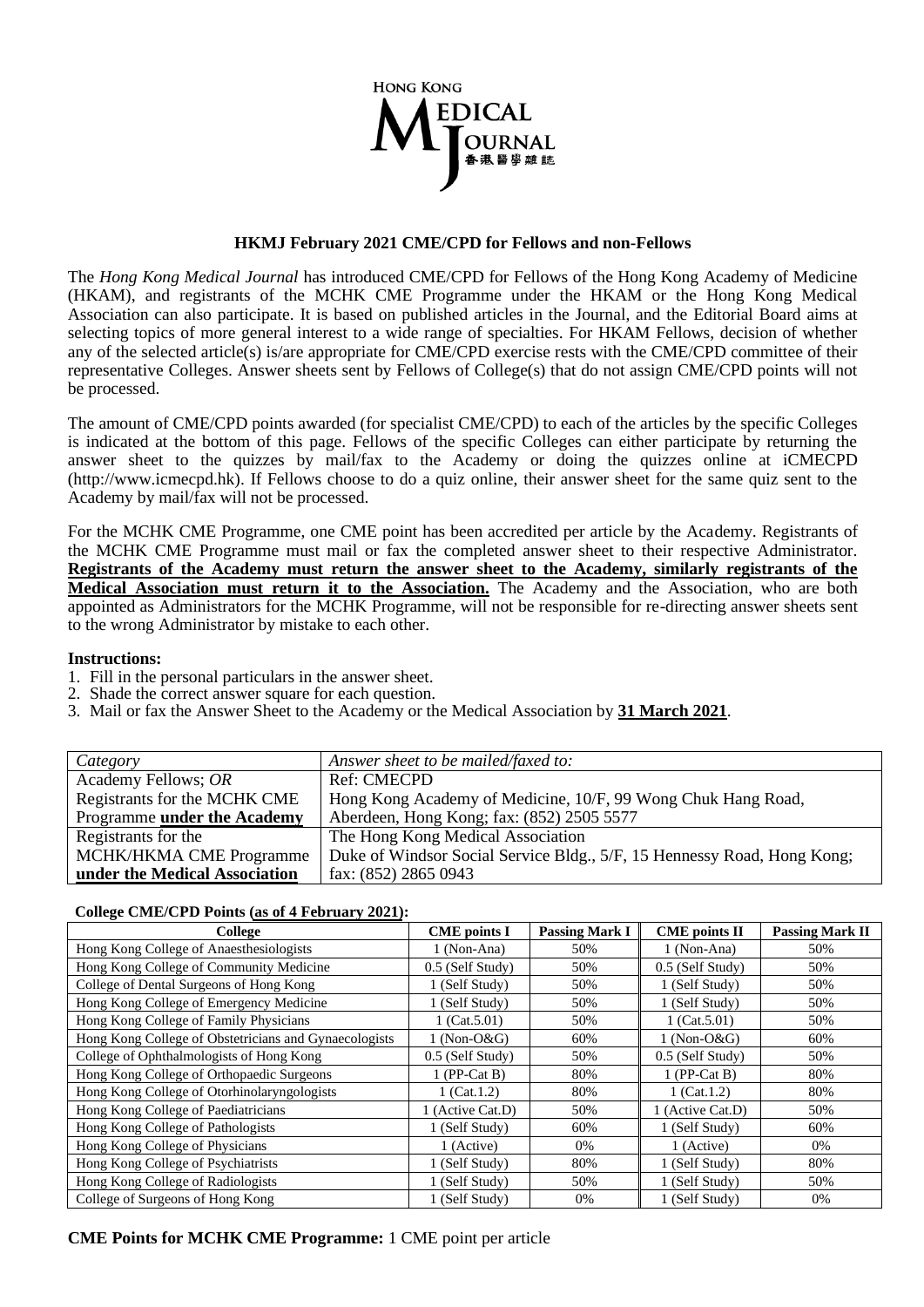

## **HKMJ February 2021 CME/CPD for Fellows and non-Fellows**

The *Hong Kong Medical Journal* has introduced CME/CPD for Fellows of the Hong Kong Academy of Medicine (HKAM), and registrants of the MCHK CME Programme under the HKAM or the Hong Kong Medical Association can also participate. It is based on published articles in the Journal, and the Editorial Board aims at selecting topics of more general interest to a wide range of specialties. For HKAM Fellows, decision of whether any of the selected article(s) is/are appropriate for CME/CPD exercise rests with the CME/CPD committee of their representative Colleges. Answer sheets sent by Fellows of College(s) that do not assign CME/CPD points will not be processed.

The amount of CME/CPD points awarded (for specialist CME/CPD) to each of the articles by the specific Colleges is indicated at the bottom of this page. Fellows of the specific Colleges can either participate by returning the answer sheet to the quizzes by mail/fax to the Academy or doing the quizzes online at iCMECPD (http://www.icmecpd.hk). If Fellows choose to do a quiz online, their answer sheet for the same quiz sent to the Academy by mail/fax will not be processed.

For the MCHK CME Programme, one CME point has been accredited per article by the Academy. Registrants of the MCHK CME Programme must mail or fax the completed answer sheet to their respective Administrator. **Registrants of the Academy must return the answer sheet to the Academy, similarly registrants of the Medical Association must return it to the Association.** The Academy and the Association, who are both appointed as Administrators for the MCHK Programme, will not be responsible for re-directing answer sheets sent to the wrong Administrator by mistake to each other.

## **Instructions:**

- 1. Fill in the personal particulars in the answer sheet.
- 2. Shade the correct answer square for each question.
- 3. Mail or fax the Answer Sheet to the Academy or the Medical Association by **31 March 2021**.

| Category                      | Answer sheet to be mailed/faxed to:                                     |
|-------------------------------|-------------------------------------------------------------------------|
| Academy Fellows; OR           | <b>Ref: CMECPD</b>                                                      |
| Registrants for the MCHK CME  | Hong Kong Academy of Medicine, 10/F, 99 Wong Chuk Hang Road,            |
| Programme under the Academy   | Aberdeen, Hong Kong; fax: (852) 2505 5577                               |
| Registrants for the           | The Hong Kong Medical Association                                       |
| MCHK/HKMA CME Programme       | Duke of Windsor Social Service Bldg., 5/F, 15 Hennessy Road, Hong Kong; |
| under the Medical Association | fax: (852) 2865 0943                                                    |

## **College CME/CPD Points (as of 4 February 2021):**

| College                                               | <b>Passing Mark I</b><br><b>CME</b> points I |       | <b>CME</b> points II | <b>Passing Mark II</b> |  |
|-------------------------------------------------------|----------------------------------------------|-------|----------------------|------------------------|--|
| Hong Kong College of Anaesthesiologists               | 1 (Non-Ana)                                  | 50%   | 1 (Non-Ana)          | 50%                    |  |
| Hong Kong College of Community Medicine               | 0.5 (Self Study)                             | 50%   | 0.5 (Self Study)     | 50%                    |  |
| College of Dental Surgeons of Hong Kong               | 1 (Self Study)                               | 50%   | 1 (Self Study)       | 50%                    |  |
| Hong Kong College of Emergency Medicine               | 1 (Self Study)                               | 50%   | 1 (Self Study)       | 50%                    |  |
| Hong Kong College of Family Physicians                | 1 $(Cat.5.01)$                               | 50%   | 1 $(Cat.5.01)$       | 50%                    |  |
| Hong Kong College of Obstetricians and Gynaecologists | $1(Non-O&G)$                                 | 60%   | $1$ (Non-O&G)        | 60%                    |  |
| College of Ophthalmologists of Hong Kong              | 0.5 (Self Study)                             | 50%   | 0.5 (Self Study)     | 50%                    |  |
| Hong Kong College of Orthopaedic Surgeons             | $1$ (PP-Cat B)                               | 80%   | $1$ (PP-Cat B)       | 80%                    |  |
| Hong Kong College of Otorhinolaryngologists           | $1$ (Cat. 1.2)                               | 80%   | $1$ (Cat. 1.2)       | 80%                    |  |
| Hong Kong College of Paediatricians                   | 1 (Active Cat.D)                             | 50%   | 1 (Active Cat.D)     | 50%                    |  |
| Hong Kong College of Pathologists                     | 1 (Self Study)                               | 60%   | 1 (Self Study)       | 60%                    |  |
| Hong Kong College of Physicians                       | 1 (Active)                                   | $0\%$ | 1 (Active)           | $0\%$                  |  |
| Hong Kong College of Psychiatrists                    | 1 (Self Study)                               | 80%   | 1 (Self Study)       | 80%                    |  |
| Hong Kong College of Radiologists                     | 1 (Self Study)                               | 50%   | 1 (Self Study)       | 50%                    |  |
| College of Surgeons of Hong Kong                      | 1 (Self Study)                               | 0%    | 1 (Self Study)       | 0%                     |  |